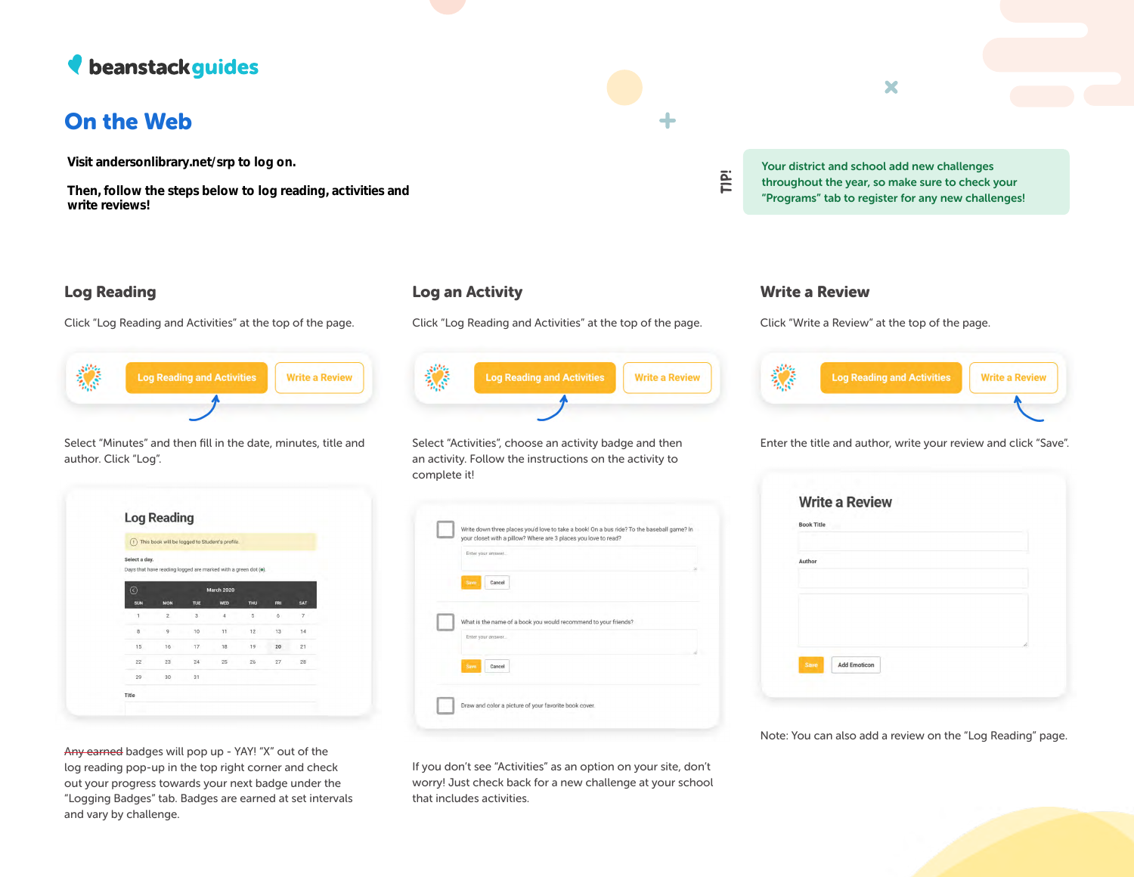# *N* beanstack guides

# On the Web

Visit andersonlibrary.net/srp to log on.

Then, follow the steps below to log reading, activities and write reviews!



Click "Log Reading and Activities" at the top of the page.



Select "Minutes" and then fill in the date, minutes, title and author. Click "Log".

| Œ                     | This book will be logged to Student's profile.                 |                |                |     |     |     |
|-----------------------|----------------------------------------------------------------|----------------|----------------|-----|-----|-----|
| Select a day.         | Days that have reading logged are marked with a green dot (o). |                |                |     |     |     |
| $\odot$<br>March 2020 |                                                                |                |                |     |     |     |
| SUN                   | <b>MON</b>                                                     | <b>TUE</b>     | WED            | THU | FRI | SAT |
|                       | $\overline{c}$                                                 | $\overline{3}$ | $\overline{a}$ | 5   | 6   | 7   |
| 8                     | $\overline{9}$                                                 | 10             | 11             | 12  | 13  | 14  |
| 15                    | 16                                                             | 17             | 18             | 19  | 20  | 21  |
| 22                    | 23                                                             | 24             | 25             | 26  | 27  | 28  |
| 29                    | 30                                                             | 31             |                |     |     |     |

Any earned badges will pop up - YAY! "X" out of the log reading pop-up in the top right corner and check out your progress towards your next badge under the "Logging Badges" tab. Badges are earned at set intervals and vary by challenge.

### Log an Activity

Click "Log Reading and Activities" at the top of the page.

## ▓ **Log Reading and Activities Write a Review**

Select "Activities", choose an activity badge and then an activity. Follow the instructions on the activity to complete it!



If you don't see "Activities" as an option on your site, don't worry! Just check back for a new challenge at your school that includes activities.



Your district and school add new challenges throughout the year, so make sure to check your

"Programs" tab to register for any new challenges!

### Write a Review

**TIP!**

Click "Write a Review" at the top of the page.



Enter the title and author, write your review and click "Save".

| Author |   |
|--------|---|
|        |   |
|        |   |
|        |   |
|        | í |

Note: You can also add a review on the "Log Reading" page.